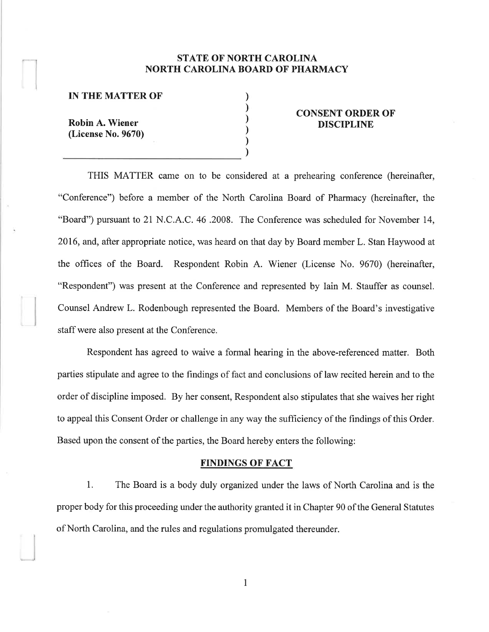# STATE OF NORTH CAROLINA NORTH CAROLINA BOARD OF PHARMACY

) ) ) ) ) )

#### IN THE MATTER OF

Robin A. Wiener (License No. 9670)

### CONSENT ORDER OF DISCIPLINE

THIS MATTER came on to be considered at a prehearing conference (hereinafter, "Conference") before a member of the North Carolina Board of Pharmacy (hereinafter, the "Board") pursuant to 21 N.C. A.C. 46 .2008. The Conference was scheduled for November 14, 2016, and, after appropriate notice, was heard on that day by Board member L. Stan Haywood at the offices of the Board. Respondent Robin A. Wiener (License No. 9670) (hereinafter, "Respondent") was present at the Conference and represented by Iain M. Stauffer as counsel. Counsel Andrew L. Rodenbough represented the Board. Members of the Board's investigative staff were also present at the Conference.

Respondent has agreed to waive a formal hearing in the above-referenced matter. Both parties stipulate and agree to the findings of fact and conclusions of law recited herein and to the order of discipline imposed. By her consent, Respondent also stipulates that she waives her right to appeal this Consent Order or challenge in any way the sufficiency of the findings of this Order. Based upon the consent of the parties, the Board hereby enters the following:

#### FINDINGS OF FACT

1. The Board is a body duly organized under the laws of North Carolina and is the proper body for this proceeding under the authority granted it in Chapter 90 of the General Statutes of North Carolina, and the rules and regulations promulgated thereunder.

I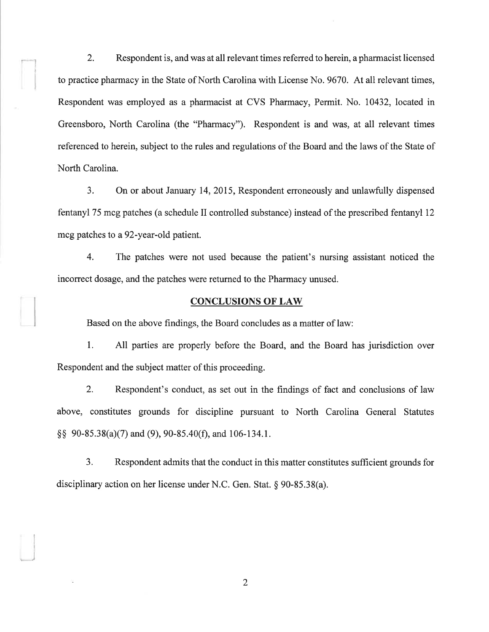2. Respondent is, and was at all relevant times referred to herein, a pharmacist licensed to practice pharmacy in the State of North Carolina with License No. 9670. At all relevant times, Respondent was employed as a pharmacist at CVS Pharmacy, Permit. No. 10432, located in Greensboro, North Carolina (the "Pharmacy"). Respondent is and was, at all relevant times referenced to herein, subject to the rules and regulations of the Board and the laws of the State of North Carolina.

I

3. On or about January 14, 2015, Respondent erroneously and unlawfully dispensed fentanyl 75 mcg patches (a schedule II controlled substance) instead of the prescribed fentanyl 12 mcg patches to a 92-year-old patient.

4. The patches were not used because the patient's nursing assistant noticed the incorrect dosage, and the patches were returned to the Pharmacy unused.

## CONCLUSIONS OF LAW

Based on the above findings, the Board concludes as a matter of law:

1. All parties are properly before the Board, and the Board has jurisdiction over Respondent and the subject matter of this proceeding.

2. Respondent's conduct, as set out in the findings of fact and conclusions of law above, constitutes grounds for discipline pursuant to North Carolina General Statutes \$\$ 90-85.38(a)(7) and (9),90-85.40(Ð, and 106-134.1.

3. Respondent admits that the conduct in this matter constitutes sufficient grounds for disciplinary action on her license under N.C. Gen. Stat. g 90-85.38(a).

2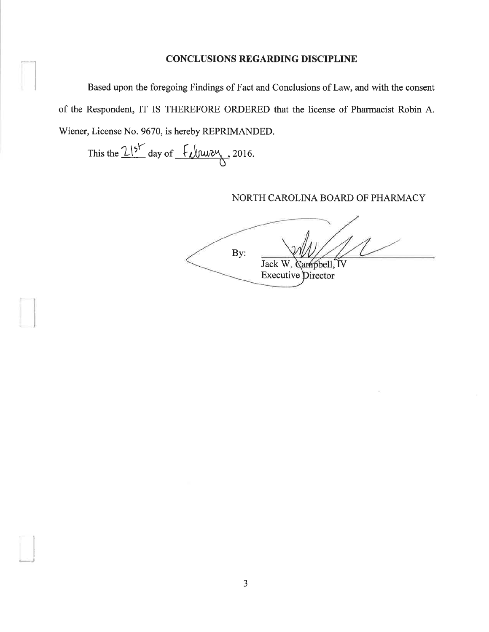## **CONCLUSIONS REGARDING DISCIPLINE**

Based upon the foregoing Findings of Fact and Conclusions of Law, and with the consent of the Respondent, IT IS THEREFORE ORDERED that the license of Pharmacist Robin A. Wiener, License No. 9670, is hereby REPRIMANDED.

This the  $2!5^{\circ}$  day of  $\frac{6}{100}$  2016.

NORTH CAROLINA BOARD OF PHARMACY

By: Jack W. Gampbell, IV **Executive Director**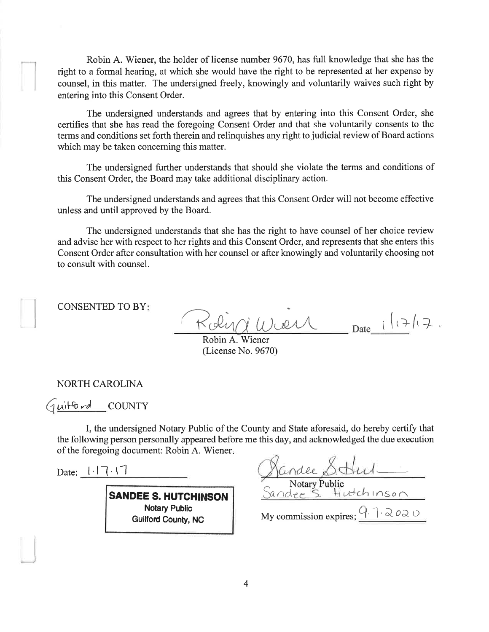Robin A. Wiener, the holder of license number 9670, has full knowledge that she has the right to a formal hearing, at which she would have the right to be represented at her expense by counsel, in this matter. The undersigned freely, knowingly and voluntarily waives such right by entering into this Consent Order.

The undersigned understands and agrees that by entering into this Consent Order, she certifies that she has read the foregoing Consent Order and that she voluntarily consents to the terms and conditions set forth therein and relinquishes any right to judicial review of Board actions which may be taken concerning this matter.

The undersigned further understands that should she violate the terms and conditions of this Consent Order, the Board may take additional disciplinary action.

The undersigned understands and agrees that this Consent Order will not become effective unless and until approved by the Board.

The undersigned understands that she has the right to have counsel of her choice review and advise her with respect to her rights and this Consent Order, and represents that she enters this Consent Order after consultation with her counsel or after knowingly and voluntarily choosing not to consult with counsel.

CONSENTED TO BY

Date  $i(\frac{1}{2})$ Raind Wier

Robin A. Wiener (License No. 9670)

NORTH CAROLINA

Guitford COUNTY

I, the undersigned Notary Public of the County and State aforesaid, do hereby certify that the following person personally appeared before me this day, and acknowledged the due execution of the foregoing document: Robin A. Wiener.

Date:  $| \cdot | \cdot | \cdot | \cdot |$ 

)

SANDEE S. HUTCHINSON **Notary Public** Guilford County, NC

Notary Public<br>Sandee S. Hutchinson dee

My commission expires:  $Q \rightarrow \infty$  o  $\infty$